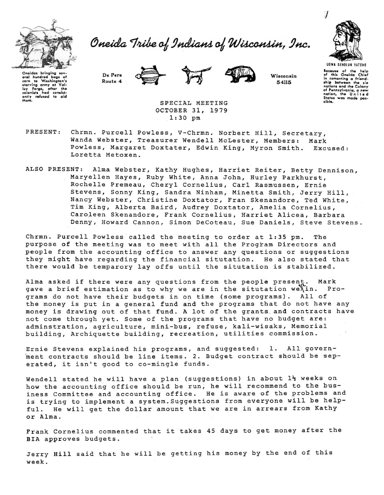

Oneida Tribe of Indians of Wisconsin, Inc.



Oncidas bringing sov-<br>oral hundrod bags of **corn** to Washington's<br>starving army at Valley Forae, after the **starving army at Val· lgy forgo, after tho colonists had conaist·**  ontly refu1od to aid **thgm.** 

De Pere Route 4





Wisconsin 54115

UGWA DEHOLUN YATEHE **lo,auso of tho help**  of thl1 Onoida Chiof **in camanting a friend .. ship between the six nations and tho Colony of Pennsylvania, a new nation, the U n i t** *Q* **d Statoa waa mode poa-** •ibla.

SPECIAL MEETING OCTOBER 31, 1979 1:30 pm

- PRESENT: Chrmn. Purcell Powless, V-Chrmn. Norbert Hill, Secretary, Wanda Webster, Treasurer Wendell McLester, Members: Mark Powless, Margaret Doxtater, Edwin King, Myron Smith. Excused: Loretta Metoxen.
- ALSO PRESENT: Alma Webster, Kathy Hughes, Harriet Reiter, Betty Dennison, Maryellen Hayes, Ruby White, Anna John, Hurley Parkhurst, Rochelle Premeau, Cheryl Cornelius, Carl Rasmussen, Ernie Stevens, Sonny King, Sandra Ninham, Minetta Smith, Jerry Hill, Nancy Webster, Christine Doxtator, Fran Skenandore, Ted White, Tim King, Alberta Baird, Audrey Doxtater, Amelia Cornelius, Caroleen Skenandore, Frank Cornelius, Harriet Alicea, Barbara Denny, Howard Cannon, Simon DeCoteau, Sue Daniels, Steve Stevens.

Chrmn~ Purcell Powless called the meeting to order at 1:35 pm. The purpose of the meeting was to meet with all the Program Directors and people from the accounting office to answer any questions or suggestions they might have regarding the financial situtation. He also stated that there would be temparory lay offs until the situtation is stabilized.

Alma asked if there were any questions from the people present. Mark<br>gave a brief estimation as to why we are in the situtation we in. Progave a brief estimation as to why we are in the situtation we  $\lambda$  in. grams do not have their budgets in on time (some programs). All of the money is put in a general fund and the programs that do not have any money is drawing out of that fund. A lot of the grants. and contracts have not come through yet. Some of the programs that have no budget are: adminstration, agriculture, mini-bus, refuse, kali-wisaks, Memorial building, Archiquette building, recreation, utilities commission.

Ernie Stevens explained his programs, and suggested: 1. All govern ment contracts should be line items. 2. Budget contract should be seperated, it isn't good to co-mingle funds.

Wendell stated he will have a plan (suggestions) in about  $1\frac{1}{2}$  weeks on how the accounting office should be run; he will recommend to the business Committee and accounting office. He is aware of the problems and is trying to implement a system.Suggestions from everyone will be helpful. He will get the dollar amount that we are in arrears from Kathy or Alma.

Frank Cornelius commented that it takes 45 days to get money after the BIA approves budgets.

Jerry Hill said that he will be getting his money by the end of this week.